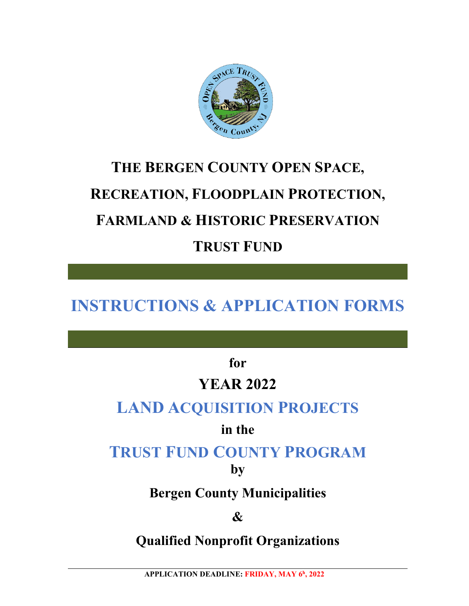

## **THE BERGEN COUNTY OPEN SPACE, RECREATION, FLOODPLAIN PROTECTION, FARMLAND & HISTORIC PRESERVATION TRUST FUND**

## **INSTRUCTIONS & APPLICATION FORMS**

**for**

## **YEAR 2022**

## **LAND ACQUISITION PROJECTS**

## **in the**

## **TRUST FUND COUNTY PROGRAM**

**by**

## **Bergen County Municipalities**

### **&**

## **Qualified Nonprofit Organizations**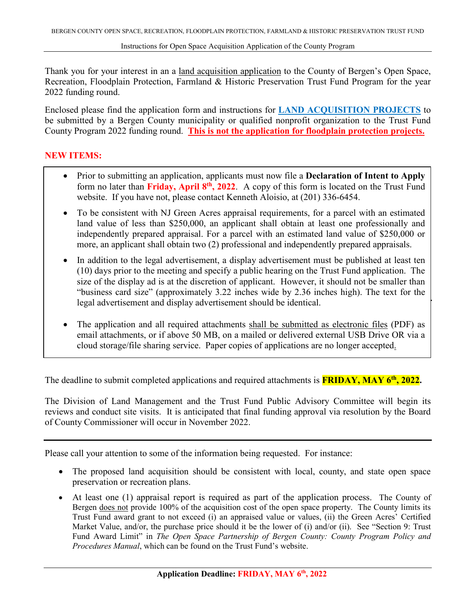Thank you for your interest in an a land acquisition application to the County of Bergen's Open Space, Recreation, Floodplain Protection, Farmland & Historic Preservation Trust Fund Program for the year 2022 funding round.

Enclosed please find the application form and instructions for **LAND ACQUISITION PROJECTS** to be submitted by a Bergen County municipality or qualified nonprofit organization to the Trust Fund County Program 2022 funding round. **This is not the application for floodplain protection projects.**

#### **NEW ITEMS:**

- Prior to submitting an application, applicants must now file a **Declaration of Intent to Apply** form no later than **Friday, April 8th, 2022**. A copy of this form is located on the Trust Fund website. If you have not, please contact Kenneth Aloisio, at (201) 336-6454.
- To be consistent with NJ Green Acres appraisal requirements, for a parcel with an estimated land value of less than \$250,000, an applicant shall obtain at least one professionally and independently prepared appraisal. For a parcel with an estimated land value of \$250,000 or more, an applicant shall obtain two (2) professional and independently prepared appraisals.
- In addition to the legal advertisement, a display advertisement must be published at least ten (10) days prior to the meeting and specify a public hearing on the Trust Fund application. The size of the display ad is at the discretion of applicant. However, it should not be smaller than "business card size" (approximately 3.22 inches wide by 2.36 inches high). The text for the legal advertisement and display advertisement should be identical.
- The application and all required attachments shall be submitted as electronic files (PDF) as email attachments, or if above 50 MB, on a mailed or delivered external USB Drive OR via a cloud storage/file sharing service. Paper copies of applications are no longer accepted.

The deadline to submit completed applications and required attachments is **FRIDAY, MAY 6th, 2022.**

The Division of Land Management and the Trust Fund Public Advisory Committee will begin its reviews and conduct site visits. It is anticipated that final funding approval via resolution by the Board of County Commissioner will occur in November 2022.

Please call your attention to some of the information being requested. For instance:

- The proposed land acquisition should be consistent with local, county, and state open space preservation or recreation plans.
- At least one (1) appraisal report is required as part of the application process. The County of Bergen does not provide 100% of the acquisition cost of the open space property. The County limits its Trust Fund award grant to not exceed (i) an appraised value or values, (ii) the Green Acres' Certified Market Value, and/or, the purchase price should it be the lower of (i) and/or (ii). See "Section 9: Trust Fund Award Limit" in *The Open Space Partnership of Bergen County: County Program Policy and Procedures Manual*, which can be found on the Trust Fund's website.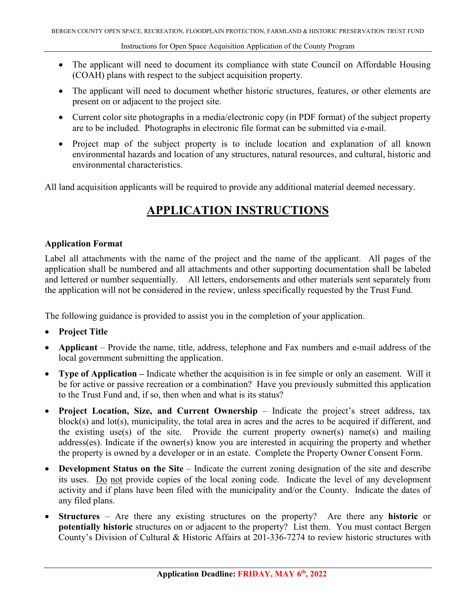- The applicant will need to document its compliance with state Council on Affordable Housing (COAH) plans with respect to the subject acquisition property.
- The applicant will need to document whether historic structures, features, or other elements are present on or adjacent to the project site.
- Current color site photographs in a media/electronic copy (in PDF format) of the subject property are to be included. Photographs in electronic file format can be submitted via e-mail.
- Project map of the subject property is to include location and explanation of all known environmental hazards and location of any structures, natural resources, and cultural, historic and environmental characteristics.

All land acquisition applicants will be required to provide any additional material deemed necessary.

#### **APPLICATION INSTRUCTIONS**

#### **Application Format**

Label all attachments with the name of the project and the name of the applicant. All pages of the application shall be numbered and all attachments and other supporting documentation shall be labeled and lettered or number sequentially. All letters, endorsements and other materials sent separately from the application will not be considered in the review, unless specifically requested by the Trust Fund.

The following guidance is provided to assist you in the completion of your application.

- **Project Title**
- **Applicant** Provide the name, title, address, telephone and Fax numbers and e-mail address of the local government submitting the application.
- **Type of Application –** Indicate whether the acquisition is in fee simple or only an easement. Will it be for active or passive recreation or a combination? Have you previously submitted this application to the Trust Fund and, if so, then when and what is its status?
- **Project Location, Size, and Current Ownership** Indicate the project's street address, tax block(s) and lot(s), municipality, the total area in acres and the acres to be acquired if different, and the existing use(s) of the site. Provide the current property owner(s) name(s) and mailing address(es). Indicate if the owner(s) know you are interested in acquiring the property and whether the property is owned by a developer or in an estate. Complete the Property Owner Consent Form.
- **Development Status on the Site** Indicate the current zoning designation of the site and describe its uses. Do not provide copies of the local zoning code. Indicate the level of any development activity and if plans have been filed with the municipality and/or the County. Indicate the dates of any filed plans.
- **Structures** Are there any existing structures on the property? Are there any **historic** or **potentially historic** structures on or adjacent to the property? List them. You must contact Bergen County's Division of Cultural & Historic Affairs at 201-336-7274 to review historic structures with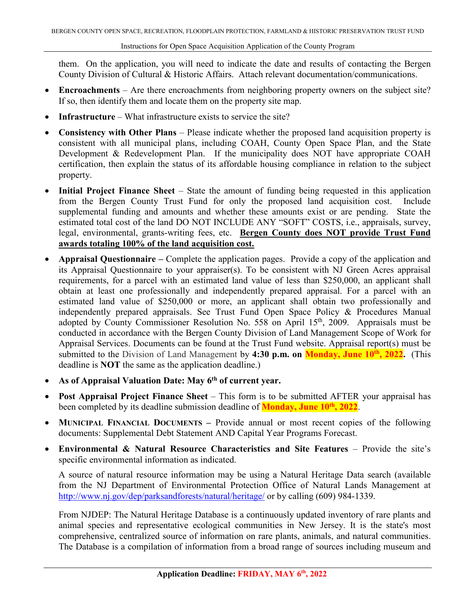them. On the application, you will need to indicate the date and results of contacting the Bergen County Division of Cultural & Historic Affairs. Attach relevant documentation/communications.

- **Encroachments** Are there encroachments from neighboring property owners on the subject site? If so, then identify them and locate them on the property site map.
- **Infrastructure** What infrastructure exists to service the site?
- **Consistency with Other Plans** Please indicate whether the proposed land acquisition property is consistent with all municipal plans, including COAH, County Open Space Plan, and the State Development & Redevelopment Plan. If the municipality does NOT have appropriate COAH certification, then explain the status of its affordable housing compliance in relation to the subject property.
- **Initial Project Finance Sheet** State the amount of funding being requested in this application from the Bergen County Trust Fund for only the proposed land acquisition cost. Include supplemental funding and amounts and whether these amounts exist or are pending. State the estimated total cost of the land DO NOT INCLUDE ANY "SOFT" COSTS, i.e., appraisals, survey, legal, environmental, grants-writing fees, etc. **Bergen County does NOT provide Trust Fund awards totaling 100% of the land acquisition cost.**
- **Appraisal Questionnaire –** Complete the application pages. Provide a copy of the application and its Appraisal Questionnaire to your appraiser(s). To be consistent with NJ Green Acres appraisal requirements, for a parcel with an estimated land value of less than \$250,000, an applicant shall obtain at least one professionally and independently prepared appraisal. For a parcel with an estimated land value of \$250,000 or more, an applicant shall obtain two professionally and independently prepared appraisals. See Trust Fund Open Space Policy & Procedures Manual adopted by County Commissioner Resolution No. 558 on April 15<sup>th</sup>, 2009. Appraisals must be conducted in accordance with the Bergen County Division of Land Management Scope of Work for Appraisal Services. Documents can be found at the Trust Fund website. Appraisal report(s) must be submitted to the Division of Land Management by 4:30 p.m. on Monday, June 10<sup>th</sup>, 2022. (This deadline is **NOT** the same as the application deadline.)
- **As of Appraisal Valuation Date: May 6th of current year.**
- **Post Appraisal Project Finance Sheet** This form is to be submitted AFTER your appraisal has been completed by its deadline submission deadline of **Monday, June 10th, 2022**.
- **MUNICIPAL FINANCIAL DOCUMENTS** Provide annual or most recent copies of the following documents: Supplemental Debt Statement AND Capital Year Programs Forecast.
- **Environmental & Natural Resource Characteristics and Site Features** Provide the site's specific environmental information as indicated.

A source of natural resource information may be using a Natural Heritage Data search (available from the NJ Department of Environmental Protection Office of Natural Lands Management at <http://www.nj.gov/dep/parksandforests/natural/heritage/> or by calling (609) 984-1339.

From NJDEP: The Natural Heritage Database is a continuously updated inventory of rare plants and animal species and representative ecological communities in New Jersey. It is the state's most comprehensive, centralized source of information on rare plants, animals, and natural communities. The Database is a compilation of information from a broad range of sources including museum and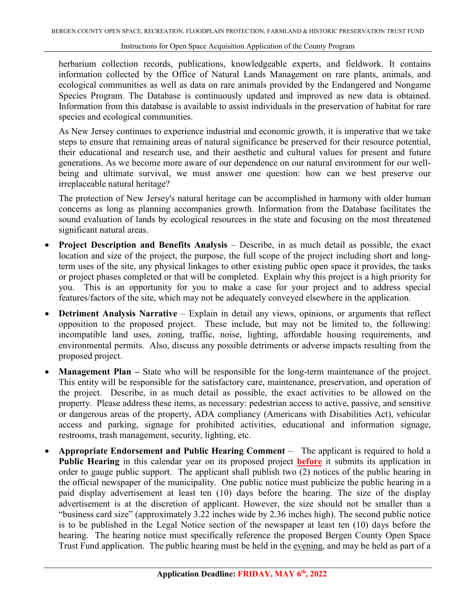herbarium collection records, publications, knowledgeable experts, and fieldwork. It contains information collected by the Office of Natural Lands Management on rare plants, animals, and ecological communities as well as data on rare animals provided by the Endangered and Nongame Species Program. The Database is continuously updated and improved as new data is obtained. Information from this database is available to assist individuals in the preservation of habitat for rare species and ecological communities.

As New Jersey continues to experience industrial and economic growth, it is imperative that we take steps to ensure that remaining areas of natural significance be preserved for their resource potential, their educational and research use, and their aesthetic and cultural values for present and future generations. As we become more aware of our dependence on our natural environment for our wellbeing and ultimate survival, we must answer one question: how can we best preserve our irreplaceable natural heritage?

The protection of New Jersey's natural heritage can be accomplished in harmony with older human concerns as long as planning accompanies growth. Information from the Database facilitates the sound evaluation of lands by ecological resources in the state and focusing on the most threatened significant natural areas.

- **Project Description and Benefits Analysis** Describe, in as much detail as possible, the exact location and size of the project, the purpose, the full scope of the project including short and longterm uses of the site, any physical linkages to other existing public open space it provides, the tasks or project phases completed or that will be completed. Explain why this project is a high priority for you. This is an opportunity for you to make a case for your project and to address special features/factors of the site, which may not be adequately conveyed elsewhere in the application.
- **Detriment Analysis Narrative** Explain in detail any views, opinions, or arguments that reflect opposition to the proposed project. These include, but may not be limited to, the following: incompatible land uses, zoning, traffic, noise, lighting, affordable housing requirements, and environmental permits. Also, discuss any possible detriments or adverse impacts resulting from the proposed project.
- **Management Plan –** State who will be responsible for the long-term maintenance of the project. This entity will be responsible for the satisfactory care, maintenance, preservation, and operation of the project. Describe, in as much detail as possible, the exact activities to be allowed on the property. Please address these items, as necessary: pedestrian access to active, passive, and sensitive or dangerous areas of the property, ADA compliancy (Americans with Disabilities Act), vehicular access and parking, signage for prohibited activities, educational and information signage, restrooms, trash management, security, lighting, etc.
- **Appropriate Endorsement and Public Hearing Comment** The applicant is required to hold a **Public Hearing** in this calendar year on its proposed project **before** it submits its application in order to gauge public support. The applicant shall publish two (2) notices of the public hearing in the official newspaper of the municipality. One public notice must publicize the public hearing in a paid display advertisement at least ten (10) days before the hearing. The size of the display advertisement is at the discretion of applicant. However, the size should not be smaller than a "business card size" (approximately 3.22 inches wide by 2.36 inches high). The second public notice is to be published in the Legal Notice section of the newspaper at least ten (10) days before the hearing. The hearing notice must specifically reference the proposed Bergen County Open Space Trust Fund application. The public hearing must be held in the evening, and may be held as part of a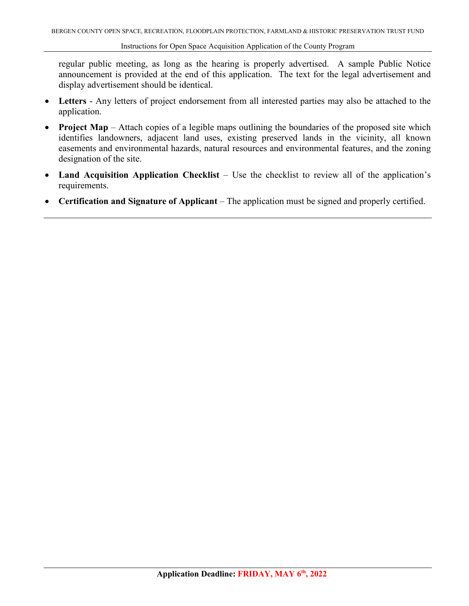regular public meeting, as long as the hearing is properly advertised. A sample Public Notice announcement is provided at the end of this application. The text for the legal advertisement and display advertisement should be identical.

- **Letters** Any letters of project endorsement from all interested parties may also be attached to the application.
- **Project Map** Attach copies of a legible maps outlining the boundaries of the proposed site which identifies landowners, adjacent land uses, existing preserved lands in the vicinity, all known easements and environmental hazards, natural resources and environmental features, and the zoning designation of the site.
- **Land Acquisition Application Checklist** Use the checklist to review all of the application's requirements.
- **Certification and Signature of Applicant** The application must be signed and properly certified.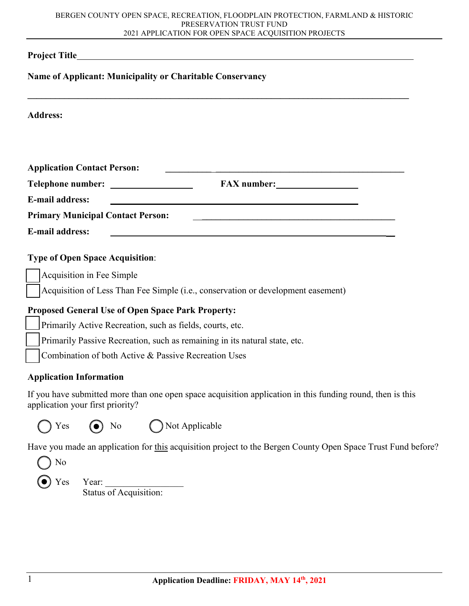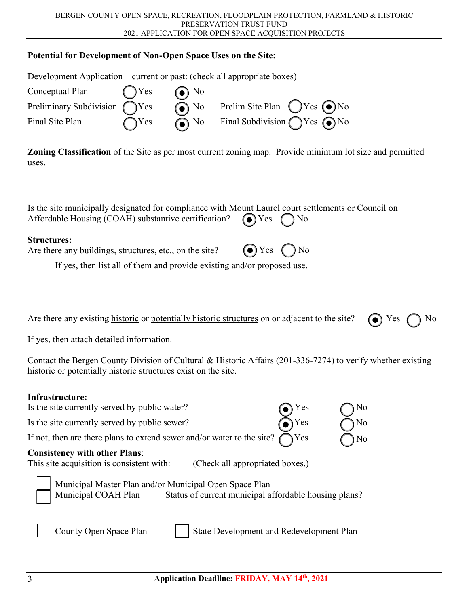

 $\overline{\phantom{0}}$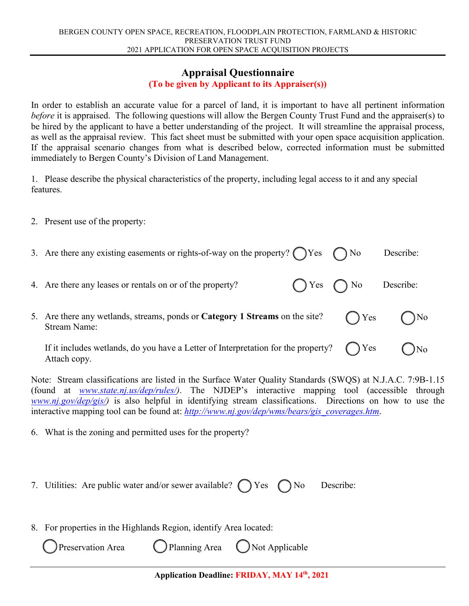#### **Appraisal Questionnaire**

#### **(To be given by Applicant to its Appraiser(s))**

In order to establish an accurate value for a parcel of land, it is important to have all pertinent information *before* it is appraised. The following questions will allow the Bergen County Trust Fund and the appraiser(s) to be hired by the applicant to have a better understanding of the project. It will streamline the appraisal process, as well as the appraisal review. This fact sheet must be submitted with your open space acquisition application. If the appraisal scenario changes from what is described below, corrected information must be submitted immediately to Bergen County's Division of Land Management.

1. Please describe the physical characteristics of the property, including legal access to it and any special features.

2. Present use of the property:

| 3. Are there any existing easements or rights-of-way on the property? $\bigcap$ Yes $\bigcap$ No  |                            | Describe: |
|---------------------------------------------------------------------------------------------------|----------------------------|-----------|
| 4. Are there any leases or rentals on or of the property?                                         | $\bigcap$ Yes $\bigcap$ No | Describe: |
| 5. Are there any wetlands, streams, ponds or Category 1 Streams on the site?<br>Stream Name:      | $\bigcap$ Yes              | No        |
| If it includes wetlands, do you have a Letter of Interpretation for the property?<br>Attach copy. | Yes                        | No        |

Note: Stream classifications are listed in the Surface Water Quality Standards (SWQS) at N.J.A.C. 7:9B-1.15 (found at *[www.state.nj.us/dep/rules/\)](http://www.state.nj.us/dep/rules/)*. The NJDEP's interactive mapping tool (accessible through *www.nj.gov/dep/gis/*) is also helpful in identifying stream classifications. Directions on how to use the interactive mapping tool can be found at: *[http://www.nj.gov/dep/wms/bears/gis\\_coverages.htm](http://www.nj.gov/dep/wms/bears/gis_coverages.htm)*.

6. What is the zoning and permitted uses for the property?

- 7. Utilities: Are public water and/or sewer available?  $\bigcap$  Yes  $\bigcap$  No Describe:
- 8. For properties in the Highlands Region, identify Area located: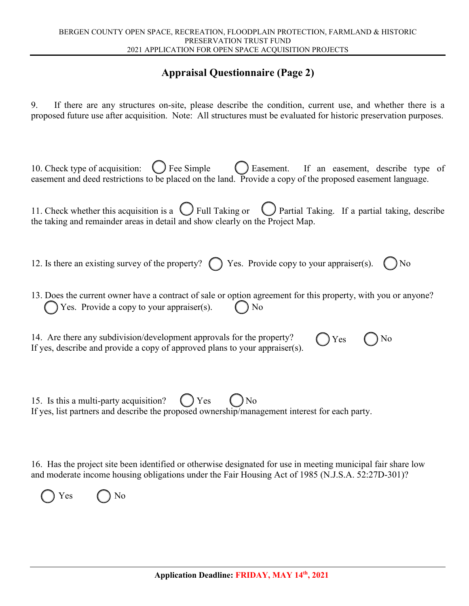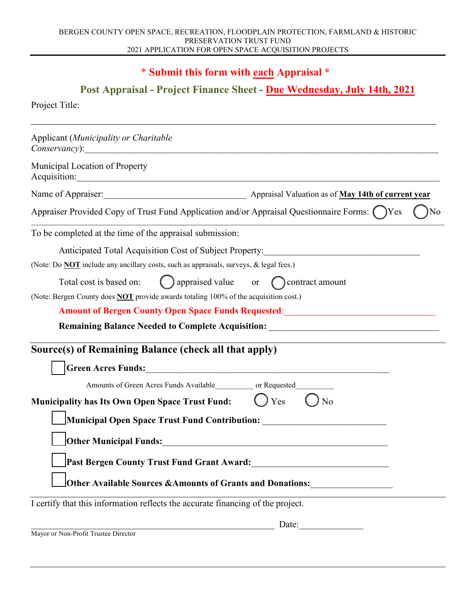#### \* **Submit this form with each Appraisal \***

#### **Post Appraisal - Project Finance Sheet - Due Friday, June 10th, 2022**

| Applicant (Municipality or Charitable<br>Conservancy: example and conservancy conservancy of the conservancy of the conservancy of the conservance of the conservation of the conservation of the conservation of the conservation of the conservation of the conservat |           |    |  |
|-------------------------------------------------------------------------------------------------------------------------------------------------------------------------------------------------------------------------------------------------------------------------|-----------|----|--|
| Municipal Location of Property<br>Acquisition:                                                                                                                                                                                                                          |           |    |  |
| Name of Appraiser: Manual Appraisal Valuation as of May 14th of current year                                                                                                                                                                                            |           |    |  |
| Appraiser Provided Copy of Trust Fund Application and/or Appraisal Questionnaire Forms: ( )Yes                                                                                                                                                                          |           | No |  |
| To be completed at the time of the appraisal submission:                                                                                                                                                                                                                |           |    |  |
| Anticipated Total Acquisition Cost of Subject Property:                                                                                                                                                                                                                 |           |    |  |
| (Note: Do <b>NOT</b> include any ancillary costs, such as appraisals, surveys, & legal fees.)                                                                                                                                                                           |           |    |  |
| $\bigcirc$ appraised value or $\bigcirc$ contract amount<br>Total cost is based on:                                                                                                                                                                                     |           |    |  |
| (Note: Bergen County does <b>NOT</b> provide awards totaling 100% of the acquisition cost.)                                                                                                                                                                             |           |    |  |
| <b>Amount of Bergen County Open Space Funds Requested:</b> Amount of Bergen County Open Space Funds Requested:                                                                                                                                                          |           |    |  |
| <b>Remaining Balance Needed to Complete Acquisition:</b>                                                                                                                                                                                                                |           |    |  |
| Source(s) of Remaining Balance (check all that apply)                                                                                                                                                                                                                   |           |    |  |
| <b>Green Acres Funds:</b>                                                                                                                                                                                                                                               |           |    |  |
| Amounts of Green Acres Funds Available or Requested                                                                                                                                                                                                                     |           |    |  |
| <b>Municipality has Its Own Open Space Trust Fund:</b>                                                                                                                                                                                                                  | Yes<br>No |    |  |
| Municipal Open Space Trust Fund Contribution:                                                                                                                                                                                                                           |           |    |  |
| Other Municipal Funds: National Contract of the Contract of the Contract of the Contract of the Contract of the                                                                                                                                                         |           |    |  |
| Past Bergen County Trust Fund Grant Award:                                                                                                                                                                                                                              |           |    |  |
| Other Available Sources & Amounts of Grants and Donations:                                                                                                                                                                                                              |           |    |  |
| I certify that this information reflects the accurate financing of the project.                                                                                                                                                                                         |           |    |  |
|                                                                                                                                                                                                                                                                         | Date:     |    |  |

Mayor or Non-Profit Trustee Director

Project Title: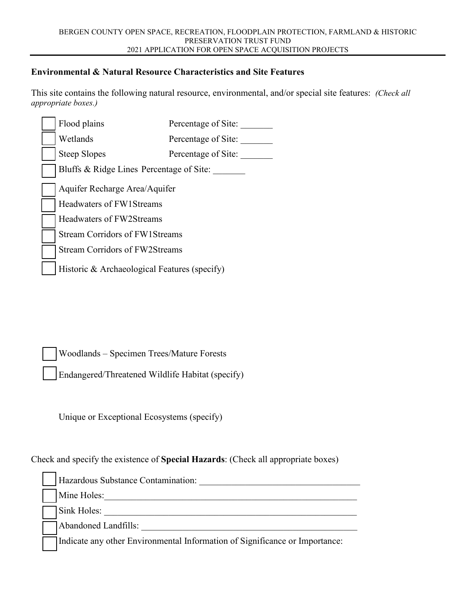#### **Environmental & Natural Resource Characteristics and Site Features**

This site contains the following natural resource, environmental, and/or special site features: *(Check all appropriate boxes.)* 

|                               | Flood plains                                 | Percentage of Site: |  |
|-------------------------------|----------------------------------------------|---------------------|--|
|                               | Wetlands                                     | Percentage of Site: |  |
|                               | <b>Steep Slopes</b>                          | Percentage of Site: |  |
|                               | Bluffs & Ridge Lines Percentage of Site:     |                     |  |
| Aquifer Recharge Area/Aquifer |                                              |                     |  |
|                               | Headwaters of FW1Streams                     |                     |  |
|                               | <b>Headwaters of FW2Streams</b>              |                     |  |
|                               | <b>Stream Corridors of FW1Streams</b>        |                     |  |
|                               | <b>Stream Corridors of FW2Streams</b>        |                     |  |
|                               | Historic & Archaeological Features (specify) |                     |  |

Woodlands – Specimen Trees/Mature Forests

Endangered/Threatened Wildlife Habitat (specify)

Unique or Exceptional Ecosystems (specify)

Check and specify the existence of **Special Hazards**: (Check all appropriate boxes)

| Hazardous Substance Contamination: |
|------------------------------------|
| Mine Holes:                        |
| Sink Holes:                        |
| Abandoned Landfills:               |

Indicate any other Environmental Information of Significance or Importance: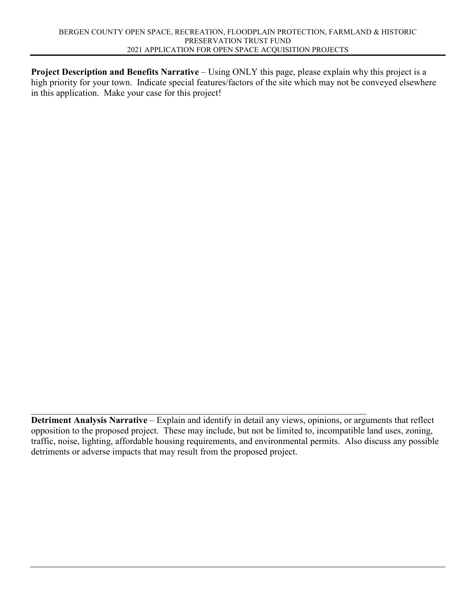**Project Description and Benefits Narrative** – Using ONLY this page, please explain why this project is a high priority for your town. Indicate special features/factors of the site which may not be conveyed elsewhere in this application. Make your case for this project!

 $\mathcal{L}_\text{G}$  , and the contribution of the contribution of the contribution of the contribution of the contribution of the contribution of the contribution of the contribution of the contribution of the contribution of t **Detriment Analysis Narrative** – Explain and identify in detail any views, opinions, or arguments that reflect opposition to the proposed project. These may include, but not be limited to, incompatible land uses, zoning, traffic, noise, lighting, affordable housing requirements, and environmental permits. Also discuss any possible detriments or adverse impacts that may result from the proposed project.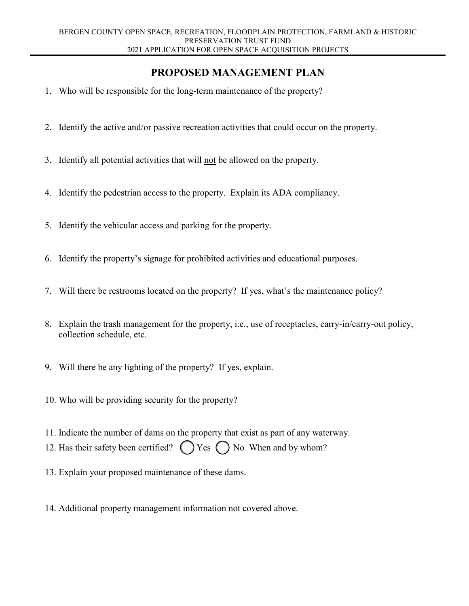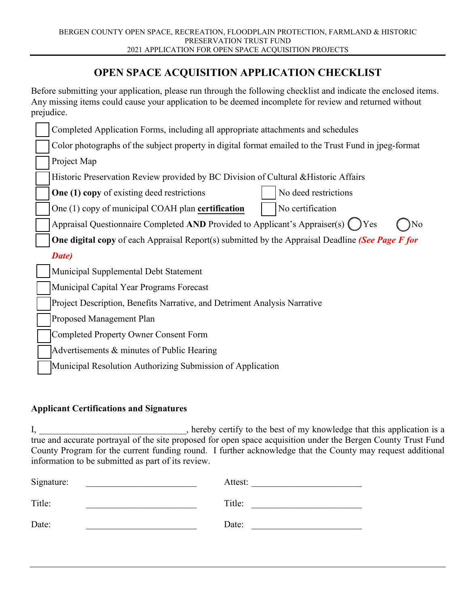

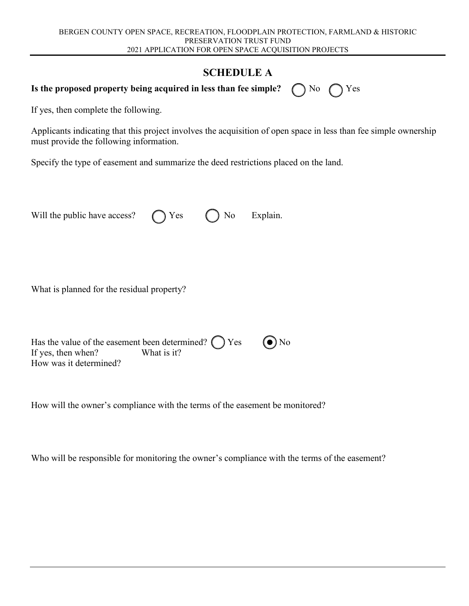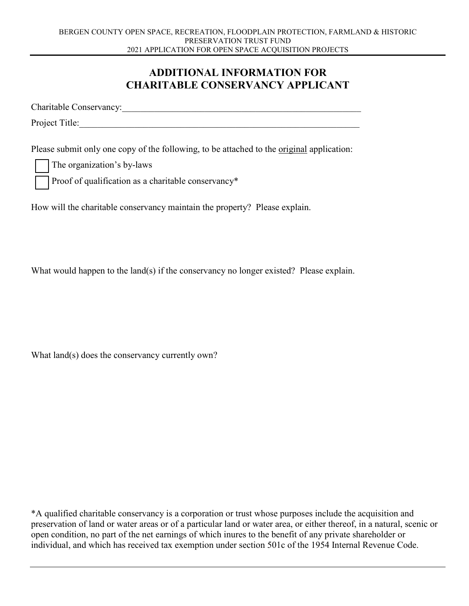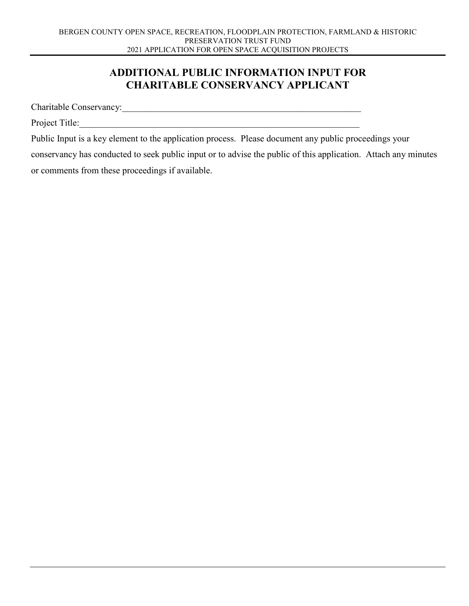#### **ADDITIONAL PUBLIC INFORMATION INPUT FOR CHARITABLE CONSERVANCY APPLICANT**

Charitable Conservancy:\_\_\_\_\_\_\_\_\_\_\_\_\_\_\_\_\_\_\_\_\_\_\_\_\_\_\_\_\_\_\_\_\_\_\_\_\_\_\_\_\_\_\_\_\_\_\_\_\_\_\_\_

Project Title:

Public Input is a key element to the application process. Please document any public proceedings your conservancy has conducted to seek public input or to advise the public of this application. Attach any minutes or comments from these proceedings if available.